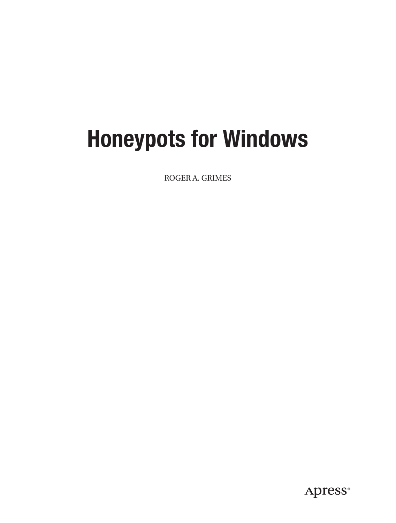# **Honeypots for Windows**

ROGER A. GRIMES

Apress®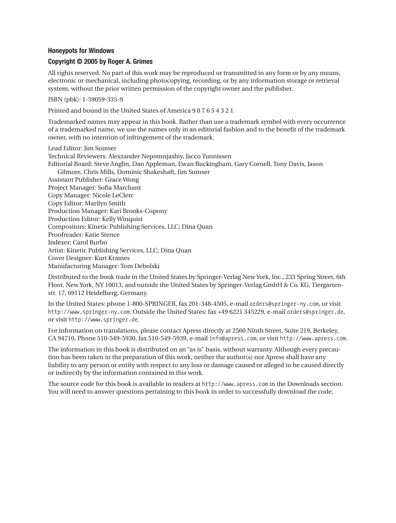#### **Honeypots for Windows**

#### **Copyright © 2005 by Roger A. Grimes**

All rights reserved. No part of this work may be reproduced or transmitted in any form or by any means, electronic or mechanical, including photocopying, recording, or by any information storage or retrieval system, without the prior written permission of the copyright owner and the publisher.

ISBN (pbk): 1-59059-335-9

Printed and bound in the United States of America 9 8 7 6 5 4 3 2 1

Trademarked names may appear in this book. Rather than use a trademark symbol with every occurrence of a trademarked name, we use the names only in an editorial fashion and to the benefit of the trademark owner, with no intention of infringement of the trademark.

Lead Editor: Jim Sumser Technical Reviewers: Alexzander Nepomnjashiy, Jacco Tunnissen Editorial Board: Steve Anglin, Dan Appleman, Ewan Buckingham, Gary Cornell, Tony Davis, Jason Gilmore, Chris Mills, Dominic Shakeshaft, Jim Sumser Assistant Publisher: Grace Wong Project Manager: Sofia Marchant Copy Manager: Nicole LeClerc Copy Editor: Marilyn Smith Production Manager: Kari Brooks-Copony Production Editor: Kelly Winquist Compositors: Kinetic Publishing Services, LLC; Dina Quan Proofreader: Katie Stence Indexer: Carol Burbo Artist: Kinetic Publishing Services, LLC; Dina Quan Cover Designer: Kurt Krames Manufacturing Manager: Tom Debolski

Distributed to the book trade in the United States by Springer-Verlag New York, Inc., 233 Spring Street, 6th Floor, New York, NY 10013, and outside the United States by Springer-Verlag GmbH & Co. KG, Tiergartenstr. 17, 69112 Heidelberg, Germany.

In the United States: phone 1-800-SPRINGER, fax 201-348-4505, e-mail orders@springer-ny.com, or visit http://www.springer-ny.com. Outside the United States: fax +49 6221 345229, e-mail orders@springer.de, or visit http://www.springer.de.

For information on translations, please contact Apress directly at 2560 Ninth Street, Suite 219, Berkeley, CA 94710. Phone 510-549-5930, fax 510-549-5939, e-mail info@apress.com, or visit http://www.apress.com.

The information in this book is distributed on an "as is" basis, without warranty. Although every precaution has been taken in the preparation of this work, neither the author(s) nor Apress shall have any liability to any person or entity with respect to any loss or damage caused or alleged to be caused directly or indirectly by the information contained in this work.

The source code for this book is available to readers at http://www.apress.com in the Downloads section. You will need to answer questions pertaining to this book in order to successfully download the code.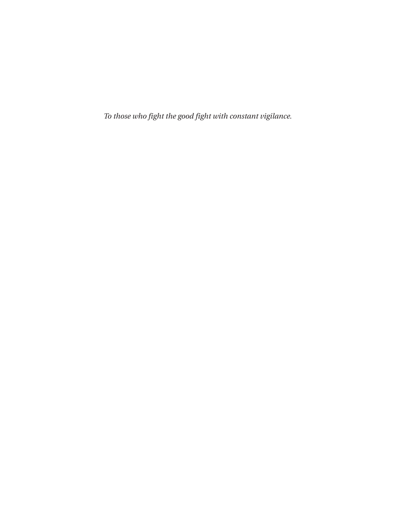*To those who fight the good fight with constant vigilance.*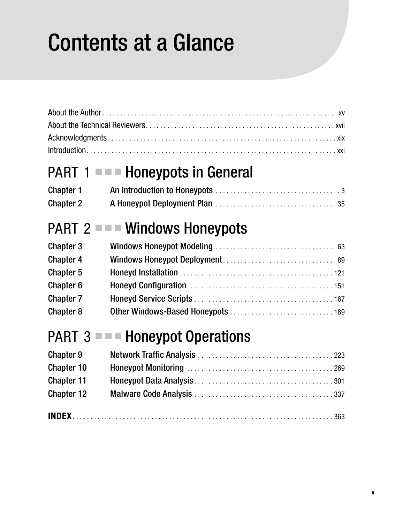# Contents at a Glance

### PART 1 ■ ■ **Honeypots in General**

| <b>Chapter 1</b> |  |
|------------------|--|
| <b>Chapter 2</b> |  |

### PART  $2 =$   $\blacksquare$  Windows Honeypots

| <b>Chapter 3</b> |  |
|------------------|--|
| <b>Chapter 4</b> |  |
| Chapter 5        |  |
| Chapter 6        |  |
| <b>Chapter 7</b> |  |
| <b>Chapter 8</b> |  |

### **PART 3 ■ ■ Honeypot Operations**

| <b>Chapter 9</b>  |  |
|-------------------|--|
| Chapter 10        |  |
| Chapter 11        |  |
| <b>Chapter 12</b> |  |
|                   |  |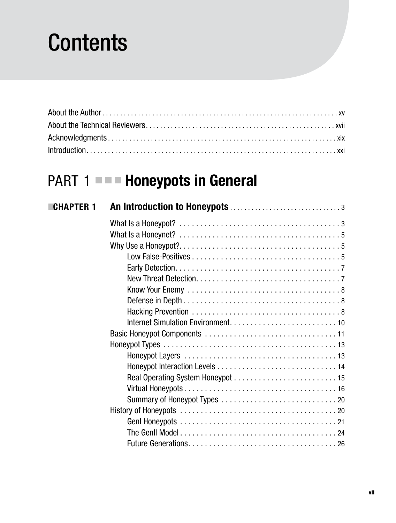## **Contents**

### **PART 1 ■■■ Honeypots in General**

| <b>CHAPTER 1</b> |                                                                                                           |
|------------------|-----------------------------------------------------------------------------------------------------------|
|                  |                                                                                                           |
|                  | What Is a Honeynet? $\ldots \ldots \ldots \ldots \ldots \ldots \ldots \ldots \ldots \ldots \ldots \ldots$ |
|                  |                                                                                                           |
|                  |                                                                                                           |
|                  |                                                                                                           |
|                  |                                                                                                           |
|                  |                                                                                                           |
|                  |                                                                                                           |
|                  |                                                                                                           |
|                  |                                                                                                           |
|                  |                                                                                                           |
|                  |                                                                                                           |
|                  |                                                                                                           |
|                  |                                                                                                           |
|                  |                                                                                                           |
|                  |                                                                                                           |
|                  |                                                                                                           |
|                  |                                                                                                           |
|                  |                                                                                                           |
|                  |                                                                                                           |
|                  |                                                                                                           |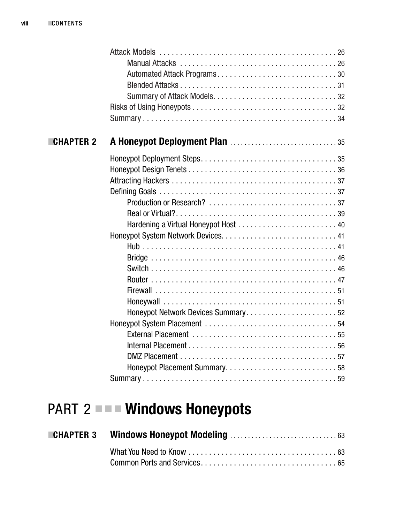#### ■**CHAPTER 2 A Honeypot Deployment Plan** . . . . . . . . . . . . . . . . . . . . . . . . . . . . . . 35

| Honeypot Network Devices Summary52 |  |
|------------------------------------|--|
|                                    |  |
|                                    |  |
|                                    |  |
|                                    |  |
|                                    |  |
|                                    |  |
|                                    |  |

### **PART 2 ■■■ Windows Honeypots**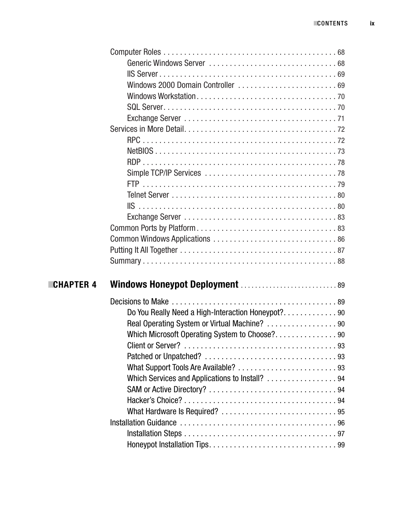|                  | Windows 2000 Domain Controller  69             |  |
|------------------|------------------------------------------------|--|
|                  |                                                |  |
|                  |                                                |  |
|                  |                                                |  |
|                  |                                                |  |
|                  |                                                |  |
|                  |                                                |  |
|                  |                                                |  |
|                  |                                                |  |
|                  |                                                |  |
|                  |                                                |  |
|                  |                                                |  |
|                  |                                                |  |
|                  |                                                |  |
|                  |                                                |  |
|                  |                                                |  |
|                  |                                                |  |
|                  |                                                |  |
| <b>CHAPTER 4</b> | Windows Honeypot Deployment  89                |  |
|                  |                                                |  |
|                  |                                                |  |
|                  |                                                |  |
|                  | Real Operating System or Virtual Machine? 90   |  |
|                  |                                                |  |
|                  |                                                |  |
|                  |                                                |  |
|                  |                                                |  |
|                  | Which Services and Applications to Install? 94 |  |
|                  |                                                |  |
|                  |                                                |  |
|                  |                                                |  |
|                  |                                                |  |
|                  |                                                |  |
|                  |                                                |  |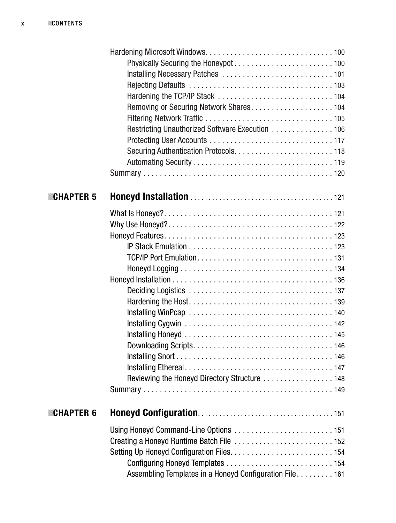|                  | Restricting Unauthorized Software Execution 106         |
|------------------|---------------------------------------------------------|
|                  |                                                         |
|                  |                                                         |
|                  |                                                         |
|                  |                                                         |
| <b>CHAPTER 5</b> |                                                         |
|                  |                                                         |
|                  |                                                         |
|                  |                                                         |
|                  |                                                         |
|                  |                                                         |
|                  |                                                         |
|                  |                                                         |
|                  |                                                         |
|                  |                                                         |
|                  |                                                         |
|                  |                                                         |
|                  |                                                         |
|                  |                                                         |
|                  |                                                         |
|                  |                                                         |
|                  |                                                         |
|                  |                                                         |
| <b>CHAPTER 6</b> |                                                         |
|                  |                                                         |
|                  |                                                         |
|                  |                                                         |
|                  |                                                         |
|                  | Assembling Templates in a Honeyd Configuration File 161 |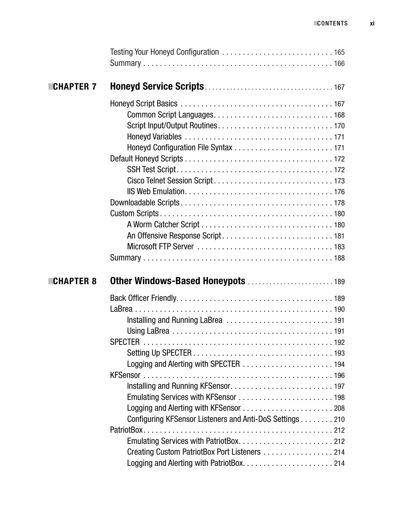| <b>CHAPTER 7</b> |                                                                                                           |  |
|------------------|-----------------------------------------------------------------------------------------------------------|--|
|                  |                                                                                                           |  |
|                  |                                                                                                           |  |
|                  |                                                                                                           |  |
|                  |                                                                                                           |  |
|                  |                                                                                                           |  |
| <b>CHAPTER 8</b> |                                                                                                           |  |
|                  |                                                                                                           |  |
|                  |                                                                                                           |  |
|                  |                                                                                                           |  |
|                  |                                                                                                           |  |
|                  | Configuring KFSensor Listeners and Anti-DoS Settings 210<br>Creating Custom PatriotBox Port Listeners 214 |  |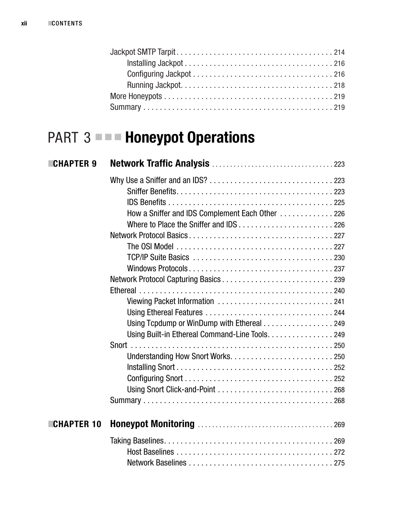### **PART 3 ■■■ Honeypot Operations**

| <b>CHAPTER 9</b>  |                                                  |  |
|-------------------|--------------------------------------------------|--|
|                   |                                                  |  |
|                   |                                                  |  |
|                   |                                                  |  |
|                   | How a Sniffer and IDS Complement Each Other  226 |  |
|                   |                                                  |  |
|                   |                                                  |  |
|                   |                                                  |  |
|                   |                                                  |  |
|                   |                                                  |  |
|                   |                                                  |  |
|                   |                                                  |  |
|                   |                                                  |  |
|                   |                                                  |  |
|                   | Using Tcpdump or WinDump with Ethereal 249       |  |
|                   | Using Built-in Ethereal Command-Line Tools. 249  |  |
|                   |                                                  |  |
|                   |                                                  |  |
|                   |                                                  |  |
|                   |                                                  |  |
|                   |                                                  |  |
|                   |                                                  |  |
| <b>CHAPTER 10</b> |                                                  |  |
|                   |                                                  |  |
|                   |                                                  |  |
|                   |                                                  |  |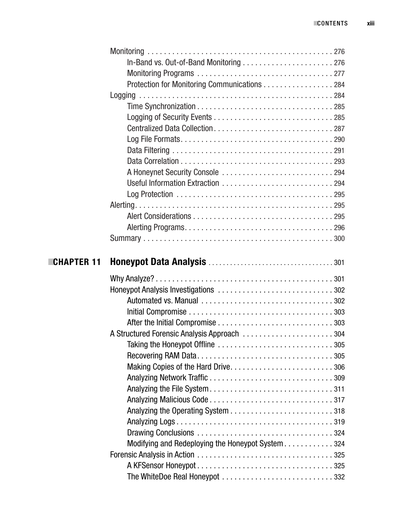|                   | Protection for Monitoring Communications 284     |  |
|-------------------|--------------------------------------------------|--|
|                   |                                                  |  |
|                   |                                                  |  |
|                   |                                                  |  |
|                   |                                                  |  |
|                   |                                                  |  |
|                   |                                                  |  |
|                   |                                                  |  |
|                   |                                                  |  |
|                   |                                                  |  |
|                   |                                                  |  |
|                   |                                                  |  |
|                   |                                                  |  |
|                   |                                                  |  |
|                   |                                                  |  |
|                   |                                                  |  |
| <b>CHAPTER 11</b> |                                                  |  |
|                   |                                                  |  |
|                   |                                                  |  |
|                   |                                                  |  |
|                   |                                                  |  |
|                   |                                                  |  |
|                   | A Structured Forensic Analysis Approach 304      |  |
|                   |                                                  |  |
|                   |                                                  |  |
|                   |                                                  |  |
|                   |                                                  |  |
|                   |                                                  |  |
|                   |                                                  |  |
|                   |                                                  |  |
|                   |                                                  |  |
|                   |                                                  |  |
|                   | Modifying and Redeploying the Honeypot System324 |  |
|                   |                                                  |  |
|                   |                                                  |  |
|                   |                                                  |  |
|                   |                                                  |  |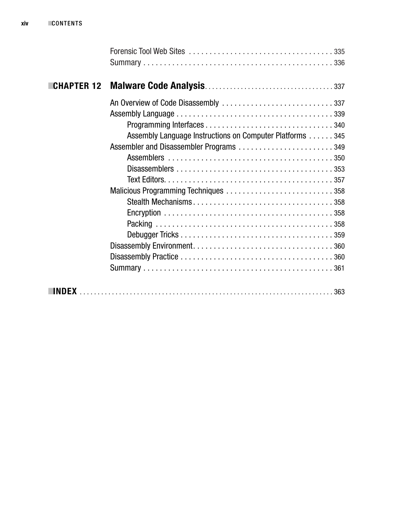| <b>CHAPTER 12</b> |                                                          |
|-------------------|----------------------------------------------------------|
|                   |                                                          |
|                   |                                                          |
|                   |                                                          |
|                   | Assembly Language Instructions on Computer Platforms 345 |
|                   |                                                          |
|                   |                                                          |
|                   |                                                          |
|                   |                                                          |
|                   |                                                          |
|                   |                                                          |
|                   |                                                          |
|                   |                                                          |
|                   |                                                          |
|                   |                                                          |
|                   |                                                          |
|                   |                                                          |
|                   |                                                          |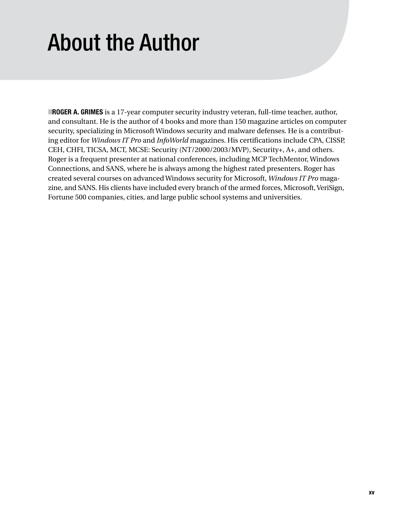# About the Author

■**ROGER A. GRIMES** is a 17-year computer security industry veteran, full-time teacher, author, and consultant. He is the author of 4 books and more than 150 magazine articles on computer security, specializing in Microsoft Windows security and malware defenses. He is a contributing editor for *Windows IT Pro* and *InfoWorld* magazines. His certifications include CPA, CISSP, CEH, CHFI, TICSA, MCT, MCSE: Security (NT/2000/2003/MVP), Security+, A+, and others. Roger is a frequent presenter at national conferences, including MCP TechMentor, Windows Connections, and SANS, where he is always among the highest rated presenters. Roger has created several courses on advanced Windows security for Microsoft, *Windows IT Pro* magazine, and SANS. His clients have included every branch of the armed forces, Microsoft, VeriSign, Fortune 500 companies, cities, and large public school systems and universities.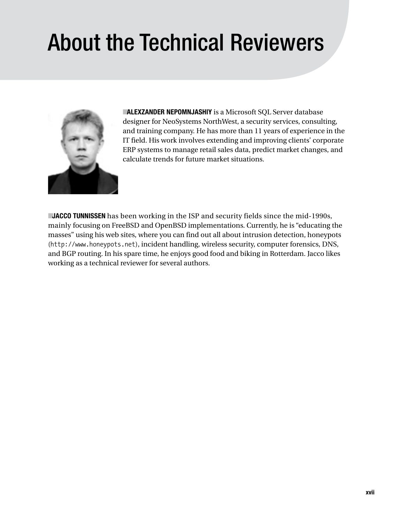# About the Technical Reviewers



**TALEXZANDER NEPOMNJASHIY** is a Microsoft SQL Server database designer for NeoSystems NorthWest, a security services, consulting, and training company. He has more than 11 years of experience in the IT field. His work involves extending and improving clients' corporate ERP systems to manage retail sales data, predict market changes, and calculate trends for future market situations.

**JACCO TUNNISSEN** has been working in the ISP and security fields since the mid-1990s, mainly focusing on FreeBSD and OpenBSD implementations. Currently, he is "educating the masses" using his web sites, where you can find out all about intrusion detection, honeypots (http://www.honeypots.net), incident handling, wireless security, computer forensics, DNS, and BGP routing. In his spare time, he enjoys good food and biking in Rotterdam. Jacco likes working as a technical reviewer for several authors.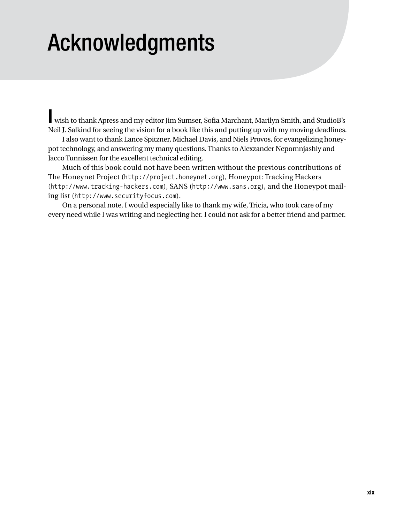## Acknowledgments

**I** wish to thank Apress and my editor Jim Sumser, Sofia Marchant, Marilyn Smith, and StudioB's Neil J. Salkind for seeing the vision for a book like this and putting up with my moving deadlines.

I also want to thank Lance Spitzner, Michael Davis, and Niels Provos, for evangelizing honeypot technology, and answering my many questions. Thanks to Alexzander Nepomnjashiy and Jacco Tunnissen for the excellent technical editing.

Much of this book could not have been written without the previous contributions of The Honeynet Project (http://project.honeynet.org), Honeypot: Tracking Hackers (http://www.tracking-hackers.com), SANS (http://www.sans.org), and the Honeypot mailing list (http://www.securityfocus.com).

On a personal note, I would especially like to thank my wife, Tricia, who took care of my every need while I was writing and neglecting her. I could not ask for a better friend and partner.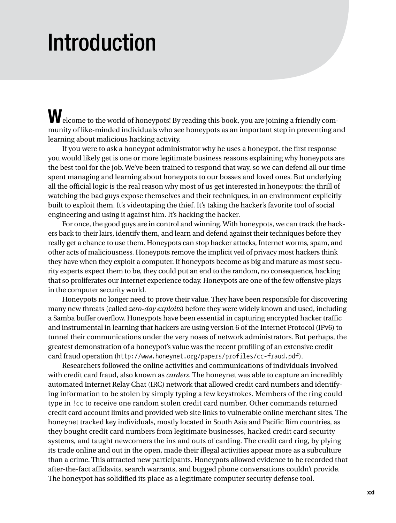### Introduction

Welcome to the world of honeypots! By reading this book, you are joining a friendly community of like-minded individuals who see honeypots as an important step in preventing and learning about malicious hacking activity.

If you were to ask a honeypot administrator why he uses a honeypot, the first response you would likely get is one or more legitimate business reasons explaining why honeypots are the best tool for the job. We've been trained to respond that way, so we can defend all our time spent managing and learning about honeypots to our bosses and loved ones. But underlying all the official logic is the real reason why most of us get interested in honeypots: the thrill of watching the bad guys expose themselves and their techniques, in an environment explicitly built to exploit them. It's videotaping the thief. It's taking the hacker's favorite tool of social engineering and using it against him. It's hacking the hacker.

For once, the good guys are in control and winning. With honeypots, we can track the hackers back to their lairs, identify them, and learn and defend against their techniques before they really get a chance to use them. Honeypots can stop hacker attacks, Internet worms, spam, and other acts of maliciousness. Honeypots remove the implicit veil of privacy most hackers think they have when they exploit a computer. If honeypots become as big and mature as most security experts expect them to be, they could put an end to the random, no consequence, hacking that so proliferates our Internet experience today. Honeypots are one of the few offensive plays in the computer security world.

Honeypots no longer need to prove their value. They have been responsible for discovering many new threats (called *zero-day exploits*) before they were widely known and used, including a Samba buffer overflow. Honeypots have been essential in capturing encrypted hacker traffic and instrumental in learning that hackers are using version 6 of the Internet Protocol (IPv6) to tunnel their communications under the very noses of network administrators. But perhaps, the greatest demonstration of a honeypot's value was the recent profiling of an extensive credit card fraud operation (http://www.honeynet.org/papers/profiles/cc-fraud.pdf).

Researchers followed the online activities and communications of individuals involved with credit card fraud, also known as *carders*. The honeynet was able to capture an incredibly automated Internet Relay Chat (IRC) network that allowed credit card numbers and identifying information to be stolen by simply typing a few keystrokes. Members of the ring could type in !cc to receive one random stolen credit card number. Other commands returned credit card account limits and provided web site links to vulnerable online merchant sites. The honeynet tracked key individuals, mostly located in South Asia and Pacific Rim countries, as they bought credit card numbers from legitimate businesses, hacked credit card security systems, and taught newcomers the ins and outs of carding. The credit card ring, by plying its trade online and out in the open, made their illegal activities appear more as a subculture than a crime. This attracted new participants. Honeypots allowed evidence to be recorded that after-the-fact affidavits, search warrants, and bugged phone conversations couldn't provide. The honeypot has solidified its place as a legitimate computer security defense tool.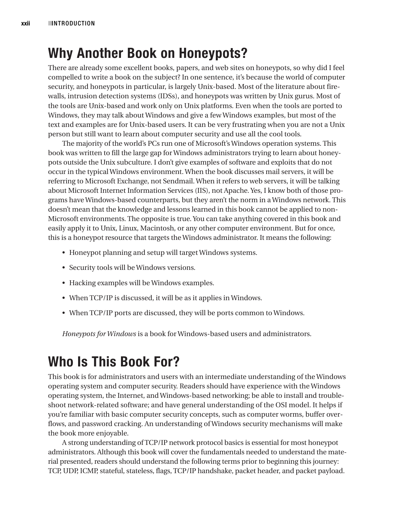### **Why Another Book on Honeypots?**

There are already some excellent books, papers, and web sites on honeypots, so why did I feel compelled to write a book on the subject? In one sentence, it's because the world of computer security, and honeypots in particular, is largely Unix-based. Most of the literature about firewalls, intrusion detection systems (IDSs), and honeypots was written by Unix gurus. Most of the tools are Unix-based and work only on Unix platforms. Even when the tools are ported to Windows, they may talk about Windows and give a few Windows examples, but most of the text and examples are for Unix-based users. It can be very frustrating when you are not a Unix person but still want to learn about computer security and use all the cool tools.

The majority of the world's PCs run one of Microsoft's Windows operation systems. This book was written to fill the large gap for Windows administrators trying to learn about honeypots outside the Unix subculture. I don't give examples of software and exploits that do not occur in the typical Windows environment. When the book discusses mail servers, it will be referring to Microsoft Exchange, not Sendmail. When it refers to web servers, it will be talking about Microsoft Internet Information Services (IIS), not Apache. Yes, I know both of those programs have Windows-based counterparts, but they aren't the norm in a Windows network. This doesn't mean that the knowledge and lessons learned in this book cannot be applied to non-Microsoft environments. The opposite is true. You can take anything covered in this book and easily apply it to Unix, Linux, Macintosh, or any other computer environment. But for once, this is a honeypot resource that targets the Windows administrator. It means the following:

- Honeypot planning and setup will target Windows systems.
- Security tools will be Windows versions.
- Hacking examples will be Windows examples.
- When TCP/IP is discussed, it will be as it applies in Windows.
- When TCP/IP ports are discussed, they will be ports common to Windows.

*Honeypots for Windows* is a book for Windows-based users and administrators.

### **Who Is This Book For?**

This book is for administrators and users with an intermediate understanding of the Windows operating system and computer security. Readers should have experience with the Windows operating system, the Internet, and Windows-based networking; be able to install and troubleshoot network-related software; and have general understanding of the OSI model. It helps if you're familiar with basic computer security concepts, such as computer worms, buffer overflows, and password cracking. An understanding of Windows security mechanisms will make the book more enjoyable.

A strong understanding of TCP/IP network protocol basics is essential for most honeypot administrators. Although this book will cover the fundamentals needed to understand the material presented, readers should understand the following terms prior to beginning this journey: TCP, UDP, ICMP, stateful, stateless, flags, TCP/IP handshake, packet header, and packet payload.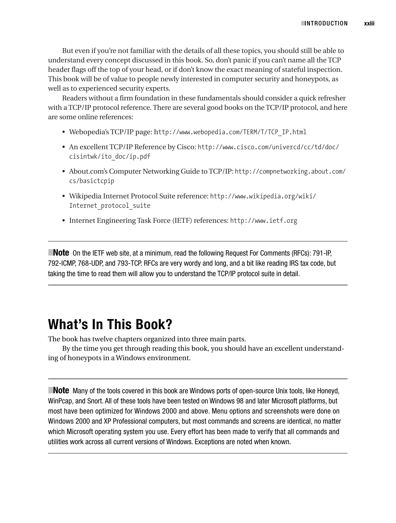But even if you're not familiar with the details of all these topics, you should still be able to understand every concept discussed in this book. So, don't panic if you can't name all the TCP header flags off the top of your head, or if don't know the exact meaning of stateful inspection. This book will be of value to people newly interested in computer security and honeypots, as well as to experienced security experts.

Readers without a firm foundation in these fundamentals should consider a quick refresher with a TCP/IP protocol reference. There are several good books on the TCP/IP protocol, and here are some online references:

- Webopedia's TCP/IP page: http://www.webopedia.com/TERM/T/TCP\_IP.html
- An excellent TCP/IP Reference by Cisco: http://www.cisco.com/univercd/cc/td/doc/ cisintwk/ito\_doc/ip.pdf
- About.com's Computer Networking Guide to TCP/IP: http://compnetworking.about.com/ cs/basictcpip
- Wikipedia Internet Protocol Suite reference: http://www.wikipedia.org/wiki/ Internet\_protocol\_suite
- Internet Engineering Task Force (IETF) references: http://www.ietf.org

**Note** On the IETF web site, at a minimum, read the following Request For Comments (RFCs): 791-IP, 792-ICMP, 768-UDP, and 793-TCP. RFCs are very wordy and long, and a bit like reading IRS tax code, but taking the time to read them will allow you to understand the TCP/IP protocol suite in detail.

### **What's In This Book?**

The book has twelve chapters organized into three main parts.

By the time you get through reading this book, you should have an excellent understanding of honeypots in a Windows environment.

**Note** Many of the tools covered in this book are Windows ports of open-source Unix tools, like Honeyd, WinPcap, and Snort. All of these tools have been tested on Windows 98 and later Microsoft platforms, but most have been optimized for Windows 2000 and above. Menu options and screenshots were done on Windows 2000 and XP Professional computers, but most commands and screens are identical, no matter which Microsoft operating system you use. Every effort has been made to verify that all commands and utilities work across all current versions of Windows. Exceptions are noted when known.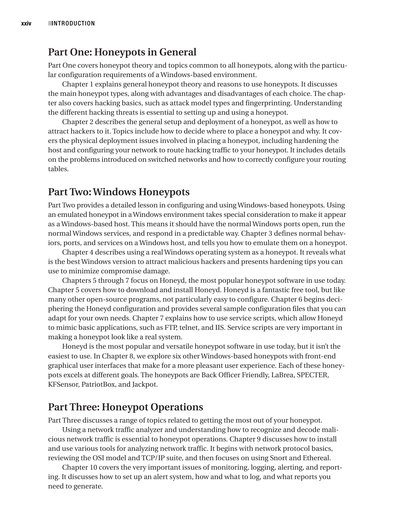#### **Part One: Honeypots in General**

Part One covers honeypot theory and topics common to all honeypots, along with the particular configuration requirements of a Windows-based environment.

Chapter 1 explains general honeypot theory and reasons to use honeypots. It discusses the main honeypot types, along with advantages and disadvantages of each choice. The chapter also covers hacking basics, such as attack model types and fingerprinting. Understanding the different hacking threats is essential to setting up and using a honeypot.

Chapter 2 describes the general setup and deployment of a honeypot, as well as how to attract hackers to it. Topics include how to decide where to place a honeypot and why. It covers the physical deployment issues involved in placing a honeypot, including hardening the host and configuring your network to route hacking traffic to your honeypot. It includes details on the problems introduced on switched networks and how to correctly configure your routing tables.

#### **Part Two: Windows Honeypots**

Part Two provides a detailed lesson in configuring and using Windows-based honeypots. Using an emulated honeypot in a Windows environment takes special consideration to make it appear as a Windows-based host. This means it should have the normal Windows ports open, run the normal Windows services, and respond in a predictable way. Chapter 3 defines normal behaviors, ports, and services on a Windows host, and tells you how to emulate them on a honeypot.

Chapter 4 describes using a real Windows operating system as a honeypot. It reveals what is the best Windows version to attract malicious hackers and presents hardening tips you can use to minimize compromise damage.

Chapters 5 through 7 focus on Honeyd, the most popular honeypot software in use today. Chapter 5 covers how to download and install Honeyd. Honeyd is a fantastic free tool, but like many other open-source programs, not particularly easy to configure. Chapter 6 begins deciphering the Honeyd configuration and provides several sample configuration files that you can adapt for your own needs. Chapter 7 explains how to use service scripts, which allow Honeyd to mimic basic applications, such as FTP, telnet, and IIS. Service scripts are very important in making a honeypot look like a real system.

Honeyd is the most popular and versatile honeypot software in use today, but it isn't the easiest to use. In Chapter 8, we explore six other Windows-based honeypots with front-end graphical user interfaces that make for a more pleasant user experience. Each of these honeypots excels at different goals. The honeypots are Back Officer Friendly, LaBrea, SPECTER, KFSensor, PatriotBox, and Jackpot.

#### **Part Three: Honeypot Operations**

Part Three discusses a range of topics related to getting the most out of your honeypot.

Using a network traffic analyzer and understanding how to recognize and decode malicious network traffic is essential to honeypot operations. Chapter 9 discusses how to install and use various tools for analyzing network traffic. It begins with network protocol basics, reviewing the OSI model and TCP/IP suite, and then focuses on using Snort and Ethereal.

Chapter 10 covers the very important issues of monitoring, logging, alerting, and reporting. It discusses how to set up an alert system, how and what to log, and what reports you need to generate.